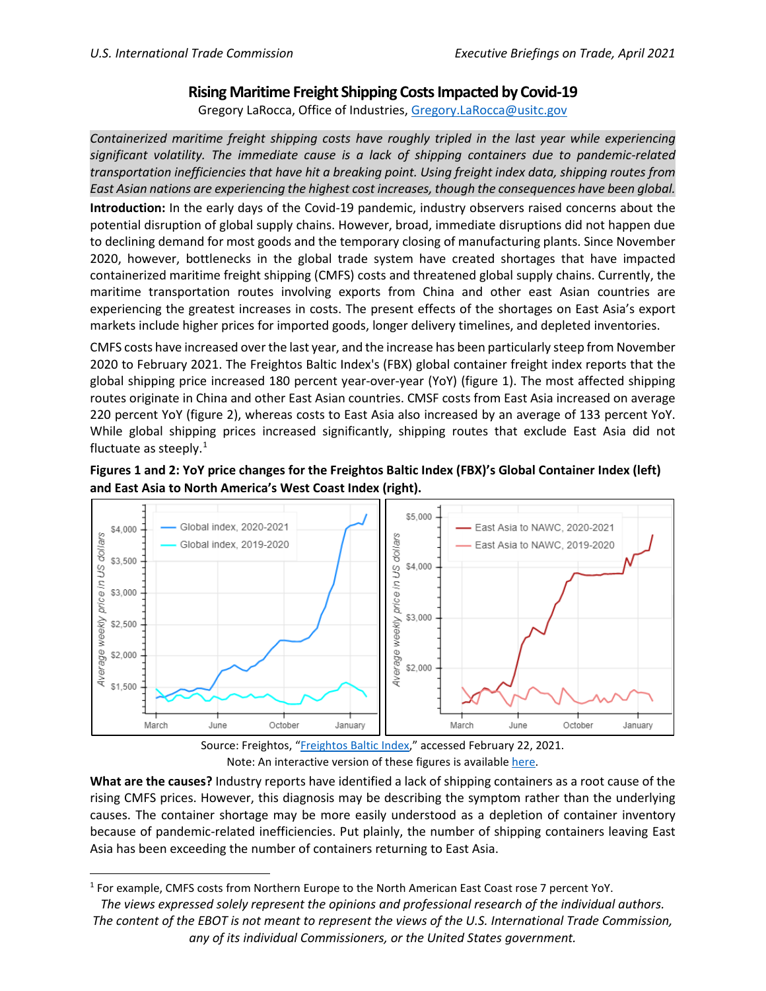## **Rising Maritime Freight Shipping Costs Impacted by Covid-19**

Gregory LaRocca, Office of Industries, [Gregory.LaRocca@usitc.gov](mailto:Gregory.LaRocca@usitc.gov) 

*Containerized maritime freight shipping costs have roughly tripled in the last year while experiencing significant volatility. The immediate cause is a lack of shipping containers due to pandemic-related transportation inefficiencies that have hit a breaking point. Using freight index data, shipping routes from East Asian nations are experiencing the highest cost increases, though the consequences have been global.*

**Introduction:** In the early days of the Covid-19 pandemic, industry observers raised concerns about the potential disruption of global supply chains. However, broad, immediate disruptions did not happen due to declining demand for most goods and the temporary closing of manufacturing plants. Since November 2020, however, bottlenecks in the global trade system have created shortages that have impacted containerized maritime freight shipping (CMFS) costs and threatened global supply chains. Currently, the maritime transportation routes involving exports from China and other east Asian countries are experiencing the greatest increases in costs. The present effects of the shortages on East Asia's export markets include higher prices for imported goods, longer delivery timelines, and depleted inventories.

CMFS costs have increased over the last year, and the increase has been particularly steep from November 2020 to February 2021. The Freightos Baltic Index's (FBX) global container freight index reports that the global shipping price increased 180 percent year-over-year (YoY) (figure 1). The most affected shipping routes originate in China and other East Asian countries. CMSF costs from East Asia increased on average 220 percent YoY (figure 2), whereas costs to East Asia also increased by an average of 133 percent YoY. While global shipping prices increased significantly, shipping routes that exclude East Asia did not fluctuate as steeply.<sup>[1](#page-0-0)</sup>

## **Figures 1 and 2: YoY price changes for the Freightos Baltic Index (FBX)'s Global Container Index (left) and East Asia to North America's West Coast Index (right).**





**What are the causes?** Industry reports have identified a lack of shipping containers as a root cause of the rising CMFS prices. However, this diagnosis may be describing the symptom rather than the underlying causes. The container shortage may be more easily understood as a depletion of container inventory because of pandemic-related inefficiencies. Put plainly, the number of shipping containers leaving East Asia has been exceeding the number of containers returning to East Asia.

<span id="page-0-0"></span><sup>1</sup> For example, CMFS costs from Northern Europe to the North American East Coast rose 7 percent YoY.

*The views expressed solely represent the opinions and professional research of the individual authors. The content of the EBOT is not meant to represent the views of the U.S. International Trade Commission, any of its individual Commissioners, or the United States government.*